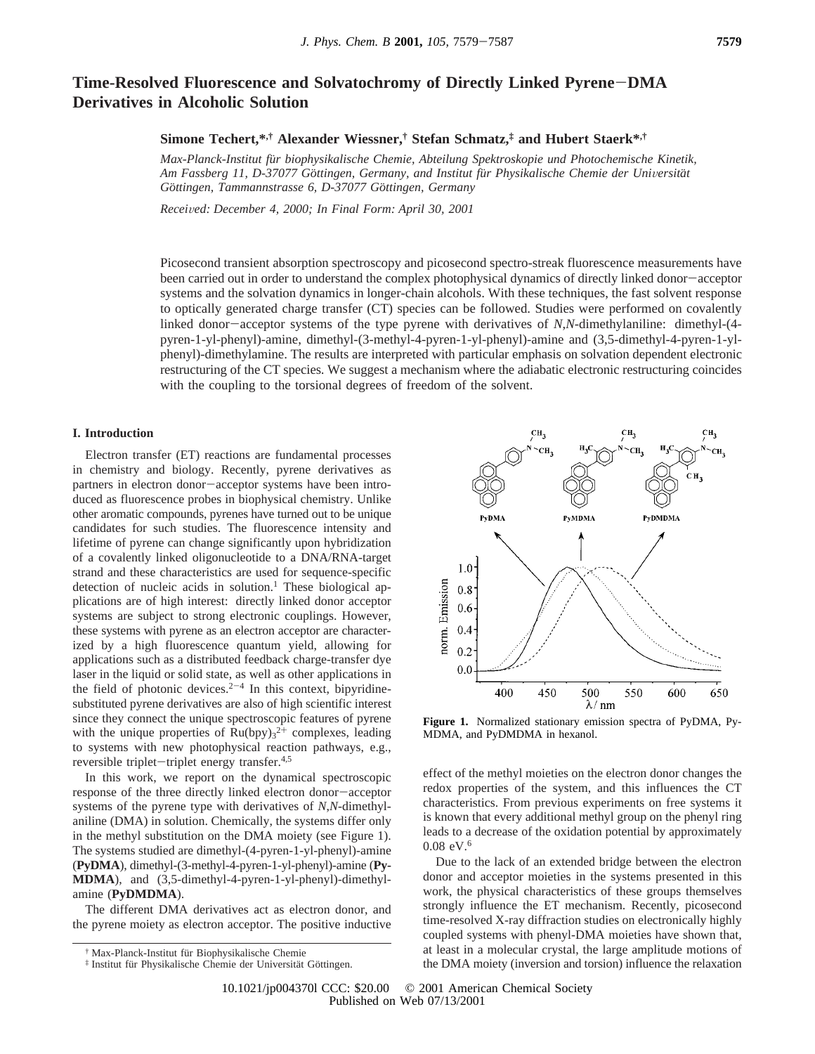# **Time-Resolved Fluorescence and Solvatochromy of Directly Linked Pyrene**-**DMA Derivatives in Alcoholic Solution**

# **Simone Techert,\*,† Alexander Wiessner,† Stefan Schmatz,‡ and Hubert Staerk\*,†**

*Max-Planck-Institut fu*¨*r biophysikalische Chemie, Abteilung Spektroskopie und Photochemische Kinetik, Am Fassberg 11, D-37077 Göttingen, Germany, and Institut für Physikalische Chemie der Universität Go*¨*ttingen, Tammannstrasse 6, D-37077 Go*¨*ttingen, Germany*

*Recei*V*ed: December 4, 2000; In Final Form: April 30, 2001*

Picosecond transient absorption spectroscopy and picosecond spectro-streak fluorescence measurements have been carried out in order to understand the complex photophysical dynamics of directly linked donor-acceptor systems and the solvation dynamics in longer-chain alcohols. With these techniques, the fast solvent response to optically generated charge transfer (CT) species can be followed. Studies were performed on covalently linked donor-acceptor systems of the type pyrene with derivatives of *<sup>N</sup>*,*N*-dimethylaniline: dimethyl-(4 pyren-1-yl-phenyl)-amine, dimethyl-(3-methyl-4-pyren-1-yl-phenyl)-amine and (3,5-dimethyl-4-pyren-1-ylphenyl)-dimethylamine. The results are interpreted with particular emphasis on solvation dependent electronic restructuring of the CT species. We suggest a mechanism where the adiabatic electronic restructuring coincides with the coupling to the torsional degrees of freedom of the solvent.

# **I. Introduction**

Electron transfer (ET) reactions are fundamental processes in chemistry and biology. Recently, pyrene derivatives as partners in electron donor-acceptor systems have been introduced as fluorescence probes in biophysical chemistry. Unlike other aromatic compounds, pyrenes have turned out to be unique candidates for such studies. The fluorescence intensity and lifetime of pyrene can change significantly upon hybridization of a covalently linked oligonucleotide to a DNA/RNA-target strand and these characteristics are used for sequence-specific detection of nucleic acids in solution.<sup>1</sup> These biological applications are of high interest: directly linked donor acceptor systems are subject to strong electronic couplings. However, these systems with pyrene as an electron acceptor are characterized by a high fluorescence quantum yield, allowing for applications such as a distributed feedback charge-transfer dye laser in the liquid or solid state, as well as other applications in the field of photonic devices. $2^{-4}$  In this context, bipyridinesubstituted pyrene derivatives are also of high scientific interest since they connect the unique spectroscopic features of pyrene with the unique properties of  $Ru(bpy)_{3}^{2+}$  complexes, leading to systems with new photophysical reaction pathways, e.g., reversible triplet-triplet energy transfer.<sup>4,5</sup>

In this work, we report on the dynamical spectroscopic response of the three directly linked electron donor-acceptor systems of the pyrene type with derivatives of *N*,*N*-dimethylaniline (DMA) in solution. Chemically, the systems differ only in the methyl substitution on the DMA moiety (see Figure 1). The systems studied are dimethyl-(4-pyren-1-yl-phenyl)-amine (**PyDMA**), dimethyl-(3-methyl-4-pyren-1-yl-phenyl)-amine (**Py-MDMA**), and (3,5-dimethyl-4-pyren-1-yl-phenyl)-dimethylamine (**PyDMDMA**).

The different DMA derivatives act as electron donor, and the pyrene moiety as electron acceptor. The positive inductive



**Figure 1.** Normalized stationary emission spectra of PyDMA, Py-MDMA, and PyDMDMA in hexanol.

effect of the methyl moieties on the electron donor changes the redox properties of the system, and this influences the CT characteristics. From previous experiments on free systems it is known that every additional methyl group on the phenyl ring leads to a decrease of the oxidation potential by approximately 0.08 eV.6

Due to the lack of an extended bridge between the electron donor and acceptor moieties in the systems presented in this work, the physical characteristics of these groups themselves strongly influence the ET mechanism. Recently, picosecond time-resolved X-ray diffraction studies on electronically highly coupled systems with phenyl-DMA moieties have shown that, at least in a molecular crystal, the large amplitude motions of the DMA moiety (inversion and torsion) influence the relaxation

<sup>†</sup> Max-Planck-Institut fu¨r Biophysikalische Chemie

<sup>&</sup>lt;sup>‡</sup> Institut für Physikalische Chemie der Universität Göttingen.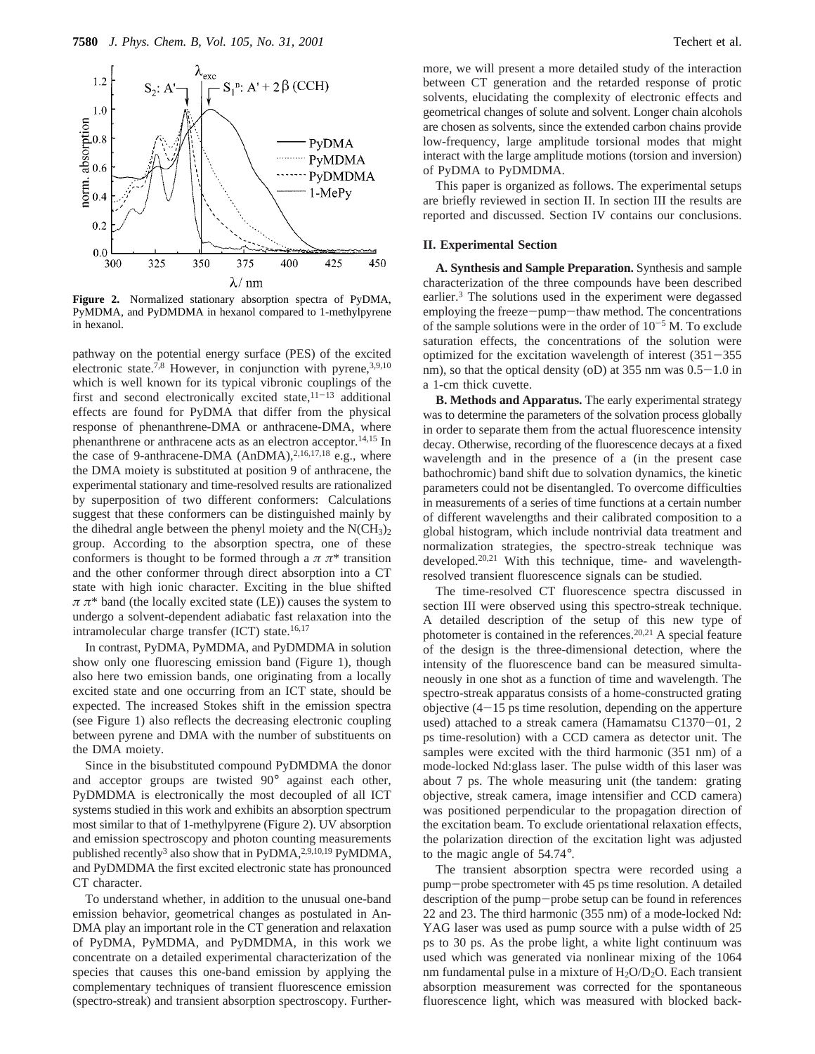

**Figure 2.** Normalized stationary absorption spectra of PyDMA, PyMDMA, and PyDMDMA in hexanol compared to 1-methylpyrene in hexanol.

pathway on the potential energy surface (PES) of the excited electronic state.<sup>7,8</sup> However, in conjunction with pyrene, $3,9,10$ which is well known for its typical vibronic couplings of the first and second electronically excited state,  $11-13$  additional effects are found for PyDMA that differ from the physical response of phenanthrene-DMA or anthracene-DMA, where phenanthrene or anthracene acts as an electron acceptor.14,15 In the case of 9-anthracene-DMA (AnDMA), $^{2,16,17,18}$  e.g., where the DMA moiety is substituted at position 9 of anthracene, the experimental stationary and time-resolved results are rationalized by superposition of two different conformers: Calculations suggest that these conformers can be distinguished mainly by the dihedral angle between the phenyl moiety and the  $N(CH_3)$ group. According to the absorption spectra, one of these conformers is thought to be formed through a  $\pi \pi^*$  transition and the other conformer through direct absorption into a CT state with high ionic character. Exciting in the blue shifted *π π*\* band (the locally excited state (LE)) causes the system to undergo a solvent-dependent adiabatic fast relaxation into the intramolecular charge transfer  $(ICT)$  state.<sup>16,17</sup>

In contrast, PyDMA, PyMDMA, and PyDMDMA in solution show only one fluorescing emission band (Figure 1), though also here two emission bands, one originating from a locally excited state and one occurring from an ICT state, should be expected. The increased Stokes shift in the emission spectra (see Figure 1) also reflects the decreasing electronic coupling between pyrene and DMA with the number of substituents on the DMA moiety.

Since in the bisubstituted compound PyDMDMA the donor and acceptor groups are twisted 90° against each other, PyDMDMA is electronically the most decoupled of all ICT systems studied in this work and exhibits an absorption spectrum most similar to that of 1-methylpyrene (Figure 2). UV absorption and emission spectroscopy and photon counting measurements published recently<sup>3</sup> also show that in PyDMA,<sup>2,9,10,19</sup> PyMDMA, and PyDMDMA the first excited electronic state has pronounced CT character.

To understand whether, in addition to the unusual one-band emission behavior, geometrical changes as postulated in An-DMA play an important role in the CT generation and relaxation of PyDMA, PyMDMA, and PyDMDMA, in this work we concentrate on a detailed experimental characterization of the species that causes this one-band emission by applying the complementary techniques of transient fluorescence emission (spectro-streak) and transient absorption spectroscopy. Further-

more, we will present a more detailed study of the interaction between CT generation and the retarded response of protic solvents, elucidating the complexity of electronic effects and geometrical changes of solute and solvent. Longer chain alcohols are chosen as solvents, since the extended carbon chains provide low-frequency, large amplitude torsional modes that might interact with the large amplitude motions (torsion and inversion) of PyDMA to PyDMDMA.

This paper is organized as follows. The experimental setups are briefly reviewed in section II. In section III the results are reported and discussed. Section IV contains our conclusions.

## **II. Experimental Section**

**A. Synthesis and Sample Preparation.** Synthesis and sample characterization of the three compounds have been described earlier.3 The solutions used in the experiment were degassed employing the freeze-pump-thaw method. The concentrations of the sample solutions were in the order of  $10^{-5}$  M. To exclude saturation effects, the concentrations of the solution were optimized for the excitation wavelength of interest  $(351-355)$ nm), so that the optical density (oD) at 355 nm was 0.5-1.0 in a 1-cm thick cuvette.

**B. Methods and Apparatus.** The early experimental strategy was to determine the parameters of the solvation process globally in order to separate them from the actual fluorescence intensity decay. Otherwise, recording of the fluorescence decays at a fixed wavelength and in the presence of a (in the present case bathochromic) band shift due to solvation dynamics, the kinetic parameters could not be disentangled. To overcome difficulties in measurements of a series of time functions at a certain number of different wavelengths and their calibrated composition to a global histogram, which include nontrivial data treatment and normalization strategies, the spectro-streak technique was developed.<sup>20,21</sup> With this technique, time- and wavelengthresolved transient fluorescence signals can be studied.

The time-resolved CT fluorescence spectra discussed in section III were observed using this spectro-streak technique. A detailed description of the setup of this new type of photometer is contained in the references.20,21 A special feature of the design is the three-dimensional detection, where the intensity of the fluorescence band can be measured simultaneously in one shot as a function of time and wavelength. The spectro-streak apparatus consists of a home-constructed grating objective  $(4-15 \text{ ps time resolution},$  depending on the apperture used) attached to a streak camera (Hamamatsu C1370-01, 2 ps time-resolution) with a CCD camera as detector unit. The samples were excited with the third harmonic (351 nm) of a mode-locked Nd:glass laser. The pulse width of this laser was about 7 ps. The whole measuring unit (the tandem: grating objective, streak camera, image intensifier and CCD camera) was positioned perpendicular to the propagation direction of the excitation beam. To exclude orientational relaxation effects, the polarization direction of the excitation light was adjusted to the magic angle of 54.74°.

The transient absorption spectra were recorded using a pump-probe spectrometer with 45 ps time resolution. A detailed description of the pump-probe setup can be found in references 22 and 23. The third harmonic (355 nm) of a mode-locked Nd: YAG laser was used as pump source with a pulse width of 25 ps to 30 ps. As the probe light, a white light continuum was used which was generated via nonlinear mixing of the 1064 nm fundamental pulse in a mixture of  $H_2O/D_2O$ . Each transient absorption measurement was corrected for the spontaneous fluorescence light, which was measured with blocked back-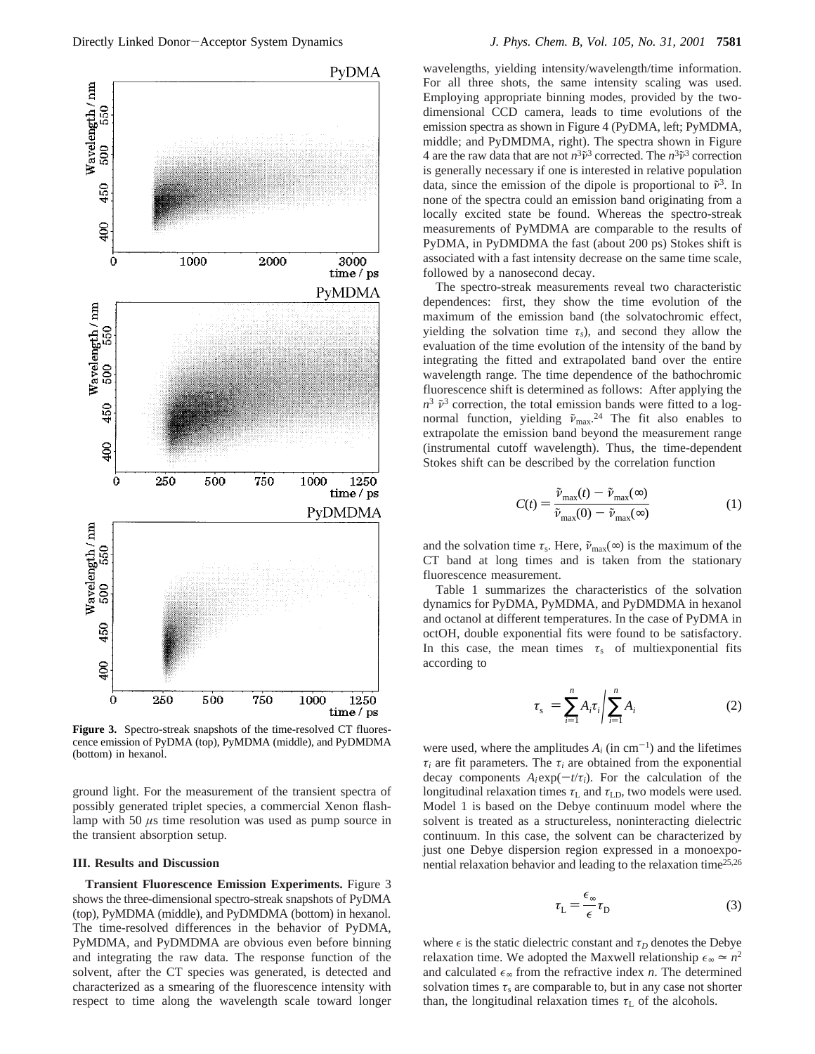

**Figure 3.** Spectro-streak snapshots of the time-resolved CT fluorescence emission of PyDMA (top), PyMDMA (middle), and PyDMDMA (bottom) in hexanol.

ground light. For the measurement of the transient spectra of possibly generated triplet species, a commercial Xenon flashlamp with 50  $\mu$ s time resolution was used as pump source in the transient absorption setup.

## **III. Results and Discussion**

**Transient Fluorescence Emission Experiments.** Figure 3 shows the three-dimensional spectro-streak snapshots of PyDMA (top), PyMDMA (middle), and PyDMDMA (bottom) in hexanol. The time-resolved differences in the behavior of PyDMA, PyMDMA, and PyDMDMA are obvious even before binning and integrating the raw data. The response function of the solvent, after the CT species was generated, is detected and characterized as a smearing of the fluorescence intensity with respect to time along the wavelength scale toward longer

wavelengths, yielding intensity/wavelength/time information. For all three shots, the same intensity scaling was used. Employing appropriate binning modes, provided by the twodimensional CCD camera, leads to time evolutions of the emission spectra as shown in Figure 4 (PyDMA, left; PyMDMA, middle; and PyDMDMA, right). The spectra shown in Figure 4 are the raw data that are not  $n^3 \tilde{v}^3$  corrected. The  $n^3 \tilde{v}^3$  correction is generally necessary if one is interested in relative population data, since the emission of the dipole is proportional to  $\tilde{v}^3$ . In none of the spectra could an emission band originating from a locally excited state be found. Whereas the spectro-streak measurements of PyMDMA are comparable to the results of PyDMA, in PyDMDMA the fast (about 200 ps) Stokes shift is associated with a fast intensity decrease on the same time scale, followed by a nanosecond decay.

The spectro-streak measurements reveal two characteristic dependences: first, they show the time evolution of the maximum of the emission band (the solvatochromic effect, yielding the solvation time  $\tau_s$ ), and second they allow the evaluation of the time evolution of the intensity of the band by integrating the fitted and extrapolated band over the entire wavelength range. The time dependence of the bathochromic fluorescence shift is determined as follows: After applying the  $n^3 \tilde{v}^3$  correction, the total emission bands were fitted to a lognormal function, yielding  $\tilde{\nu}_{\text{max}}^{24}$ . The fit also enables to extrapolate the emission band beyond the measurement range (instrumental cutoff wavelength). Thus, the time-dependent Stokes shift can be described by the correlation function

$$
C(t) = \frac{\tilde{\nu}_{\text{max}}(t) - \tilde{\nu}_{\text{max}}(\infty)}{\tilde{\nu}_{\text{max}}(0) - \tilde{\nu}_{\text{max}}(\infty)} \tag{1}
$$

and the solvation time  $\tau_s$ . Here,  $\tilde{\nu}_{\text{max}}(\infty)$  is the maximum of the CT band at long times and is taken from the stationary fluorescence measurement.

Table 1 summarizes the characteristics of the solvation dynamics for PyDMA, PyMDMA, and PyDMDMA in hexanol and octanol at different temperatures. In the case of PyDMA in octOH, double exponential fits were found to be satisfactory. In this case, the mean times  $\langle \tau_s \rangle$  of multiexponential fits according to

$$
\langle \tau_s \rangle = \sum_{i=1}^n A_i \tau_i \bigg| \sum_{i=1}^n A_i \tag{2}
$$

were used, where the amplitudes  $A_i$  (in cm<sup>-1</sup>) and the lifetimes  $\tau_i$  are fit parameters. The  $\tau_i$  are obtained from the exponential decay components  $A_i \exp(-t/\tau_i)$ . For the calculation of the longitudinal relaxation times  $\tau_L$  and  $\tau_{LD}$ , two models were used. Model 1 is based on the Debye continuum model where the solvent is treated as a structureless, noninteracting dielectric continuum. In this case, the solvent can be characterized by just one Debye dispersion region expressed in a monoexponential relaxation behavior and leading to the relaxation time25,26

$$
\tau_{\rm L} = \frac{\epsilon_{\infty}}{\epsilon} \tau_{\rm D} \tag{3}
$$

where  $\epsilon$  is the static dielectric constant and  $\tau_D$  denotes the Debye relaxation time. We adopted the Maxwell relationship  $\epsilon_{\infty} \simeq n^2$ and calculated  $\epsilon_{\infty}$  from the refractive index *n*. The determined solvation times  $\tau_s$  are comparable to, but in any case not shorter than, the longitudinal relaxation times  $\tau_L$  of the alcohols.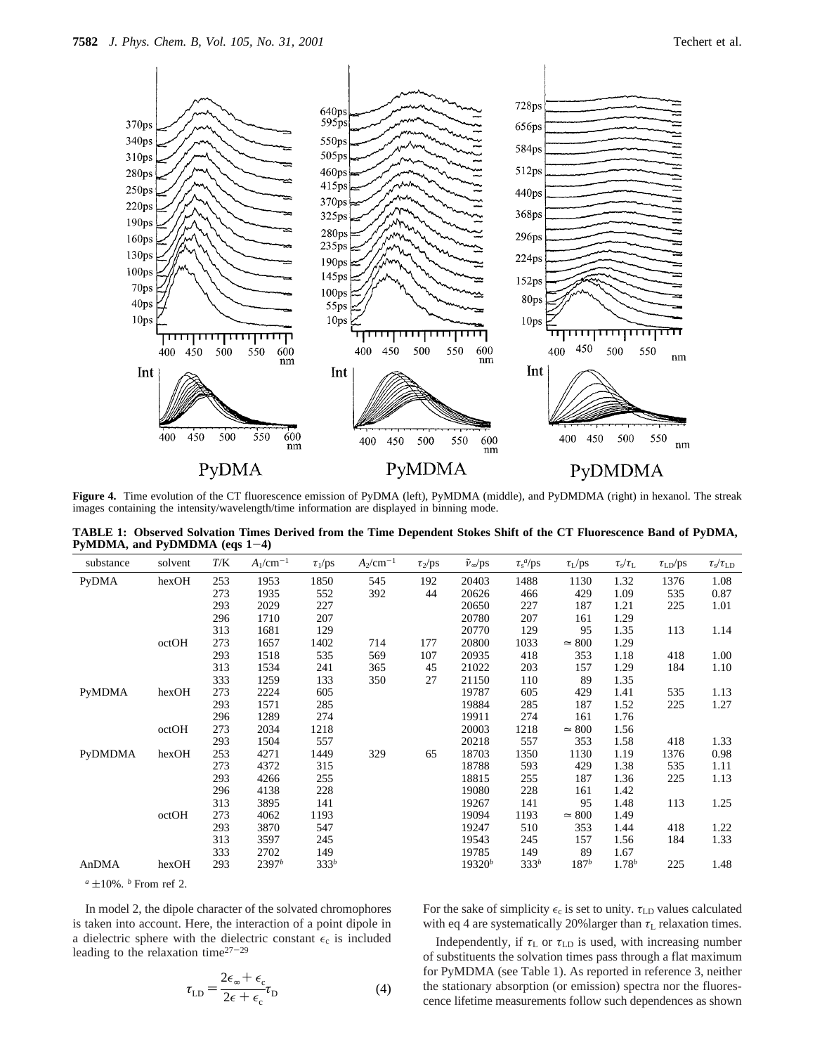

**Figure 4.** Time evolution of the CT fluorescence emission of PyDMA (left), PyMDMA (middle), and PyDMDMA (right) in hexanol. The streak images containing the intensity/wavelength/time information are displayed in binning mode.

**TABLE 1: Observed Solvation Times Derived from the Time Dependent Stokes Shift of the CT Fluorescence Band of PyDMA, PyMDMA, and PyDMDMA (eqs 1**-**4)**

| substance    | solvent | T/K | $A_1$ /cm <sup>-1</sup> | $\tau_1/ps$      | $A_2$ /cm <sup>-1</sup> | $\tau_2$ /ps | $\tilde{\nu}_{\infty}$ /ps | $\tau_s^{\alpha}/\text{ps}$ | $\tau_{\rm L}$ /ps | $\tau_{\rm s}/\tau_{\rm L}$ | $\tau_{LD}$ /ps | $\tau_{\rm s}/\tau_{\rm LD}$ |
|--------------|---------|-----|-------------------------|------------------|-------------------------|--------------|----------------------------|-----------------------------|--------------------|-----------------------------|-----------------|------------------------------|
| <b>PyDMA</b> | hexOH   | 253 | 1953                    | 1850             | 545                     | 192          | 20403                      | 1488                        | 1130               | 1.32                        | 1376            | 1.08                         |
|              |         | 273 | 1935                    | 552              | 392                     | 44           | 20626                      | 466                         | 429                | 1.09                        | 535             | 0.87                         |
|              |         | 293 | 2029                    | 227              |                         |              | 20650                      | 227                         | 187                | 1.21                        | 225             | 1.01                         |
|              |         | 296 | 1710                    | 207              |                         |              | 20780                      | 207                         | 161                | 1.29                        |                 |                              |
|              |         | 313 | 1681                    | 129              |                         |              | 20770                      | 129                         | 95                 | 1.35                        | 113             | 1.14                         |
|              | octOH   | 273 | 1657                    | 1402             | 714                     | 177          | 20800                      | 1033                        | $\simeq 800$       | 1.29                        |                 |                              |
|              |         | 293 | 1518                    | 535              | 569                     | 107          | 20935                      | 418                         | 353                | 1.18                        | 418             | 1.00                         |
|              |         | 313 | 1534                    | 241              | 365                     | 45           | 21022                      | 203                         | 157                | 1.29                        | 184             | 1.10                         |
|              |         | 333 | 1259                    | 133              | 350                     | 27           | 21150                      | 110                         | 89                 | 1.35                        |                 |                              |
| PyMDMA       | hexOH   | 273 | 2224                    | 605              |                         |              | 19787                      | 605                         | 429                | 1.41                        | 535             | 1.13                         |
|              |         | 293 | 1571                    | 285              |                         |              | 19884                      | 285                         | 187                | 1.52                        | 225             | 1.27                         |
|              |         | 296 | 1289                    | 274              |                         |              | 19911                      | 274                         | 161                | 1.76                        |                 |                              |
|              | octOH   | 273 | 2034                    | 1218             |                         |              | 20003                      | 1218                        | $\simeq 800$       | 1.56                        |                 |                              |
|              |         | 293 | 1504                    | 557              |                         |              | 20218                      | 557                         | 353                | 1.58                        | 418             | 1.33                         |
| PyDMDMA      | hexOH   | 253 | 4271                    | 1449             | 329                     | 65           | 18703                      | 1350                        | 1130               | 1.19                        | 1376            | 0.98                         |
|              |         | 273 | 4372                    | 315              |                         |              | 18788                      | 593                         | 429                | 1.38                        | 535             | 1.11                         |
|              |         | 293 | 4266                    | 255              |                         |              | 18815                      | 255                         | 187                | 1.36                        | 225             | 1.13                         |
|              |         | 296 | 4138                    | 228              |                         |              | 19080                      | 228                         | 161                | 1.42                        |                 |                              |
|              |         | 313 | 3895                    | 141              |                         |              | 19267                      | 141                         | 95                 | 1.48                        | 113             | 1.25                         |
|              | octOH   | 273 | 4062                    | 1193             |                         |              | 19094                      | 1193                        | $\simeq 800$       | 1.49                        |                 |                              |
|              |         | 293 | 3870                    | 547              |                         |              | 19247                      | 510                         | 353                | 1.44                        | 418             | 1.22                         |
|              |         | 313 | 3597                    | 245              |                         |              | 19543                      | 245                         | 157                | 1.56                        | 184             | 1.33                         |
|              |         | 333 | 2702                    | 149              |                         |              | 19785                      | 149                         | 89                 | 1.67                        |                 |                              |
| AnDMA        | hexOH   | 293 | $2397^b$                | 333 <sup>b</sup> |                         |              | $19320^b$                  | 333 <sup>b</sup>            | $187^b$            | $1.78^{b}$                  | 225             | 1.48                         |

 $a \pm 10\%$ . *b* From ref 2.

In model 2, the dipole character of the solvated chromophores is taken into account. Here, the interaction of a point dipole in a dielectric sphere with the dielectric constant  $\epsilon_c$  is included leading to the relaxation time27-<sup>29</sup>

$$
\tau_{\rm LD} = \frac{2\epsilon_{\rm s} + \epsilon_{\rm c}}{2\epsilon + \epsilon_{\rm c}} \tau_{\rm D} \tag{4}
$$

For the sake of simplicity  $\epsilon_c$  is set to unity.  $\tau_{LD}$  values calculated with eq 4 are systematically 20%larger than *τ*<sub>L</sub> relaxation times.

Independently, if  $\tau$ <sub>L</sub> or  $\tau$ <sub>LD</sub> is used, with increasing number of substituents the solvation times pass through a flat maximum for PyMDMA (see Table 1). As reported in reference 3, neither the stationary absorption (or emission) spectra nor the fluorescence lifetime measurements follow such dependences as shown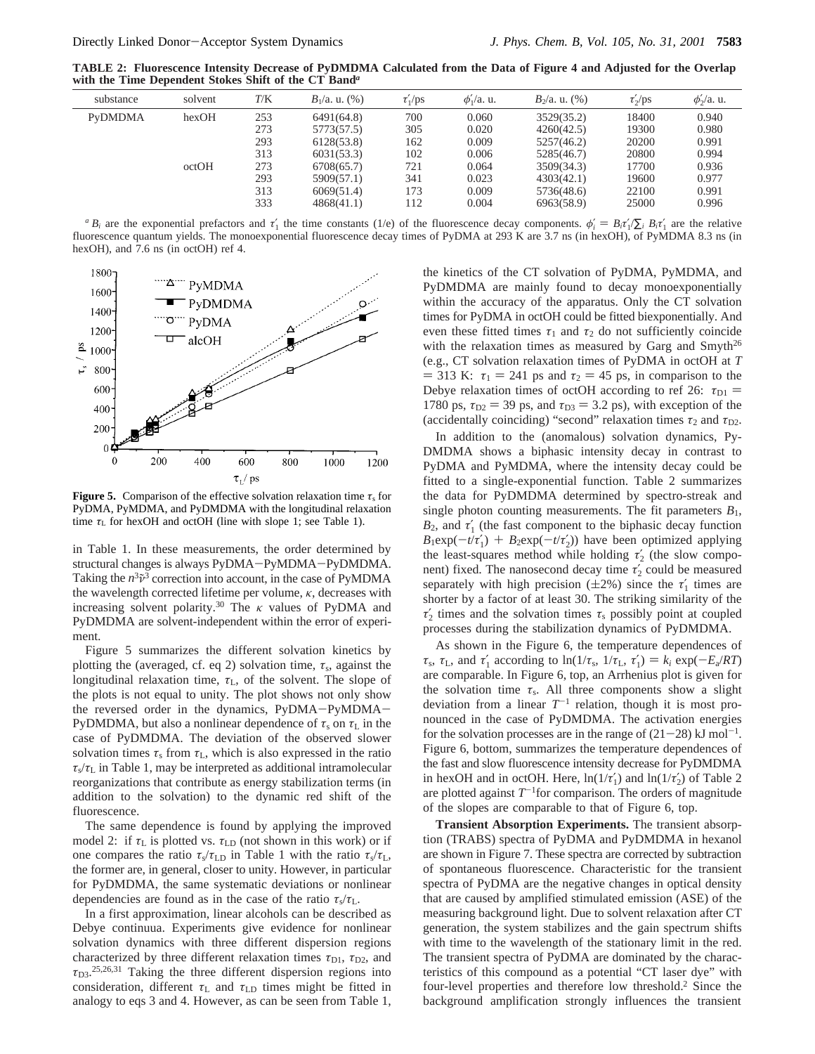**TABLE 2: Fluorescence Intensity Decrease of PyDMDMA Calculated from the Data of Figure 4 and Adjusted for the Overlap with the Time Dependent Stokes Shift of the CT Band***<sup>a</sup>*

| substance      | solvent | T/K | $B_1/a$ . u. $(\%)$ | $\tau_1'/ps$ | $\phi'_1/a$ . u. | $B_2/a$ . u. $(\%)$ | $\tau_2'/ps$ | $\phi'_2$ , u. |
|----------------|---------|-----|---------------------|--------------|------------------|---------------------|--------------|----------------|
| <b>PyDMDMA</b> | hexOH   | 253 | 6491(64.8)          | 700          | 0.060            | 3529(35.2)          | 18400        | 0.940          |
|                |         | 273 | 5773(57.5)          | 305          | 0.020            | 4260(42.5)          | 19300        | 0.980          |
|                |         | 293 | 6128(53.8)          | 162          | 0.009            | 5257(46.2)          | 20200        | 0.991          |
|                |         | 313 | 6031(53.3)          | 102          | 0.006            | 5285(46.7)          | 20800        | 0.994          |
|                | octOH   | 273 | 6708(65.7)          | 721          | 0.064            | 3509(34.3)          | 17700        | 0.936          |
|                |         | 293 | 5909(57.1)          | 341          | 0.023            | 4303(42.1)          | 19600        | 0.977          |
|                |         | 313 | 6069(51.4)          | 173          | 0.009            | 5736(48.6)          | 22100        | 0.991          |
|                |         | 333 | 4868(41.1)          | 112          | 0.004            | 6963(58.9)          | 25000        | 0.996          |

*a B<sub>i</sub>* are the exponential prefactors and *τ*<sup>'</sup><sub>1</sub> the time constants (1/e) of the fluorescence decay components.  $\phi'_i = B_i \tau'_1 / \sum_i B_i \tau'_1$  are the relative or escence quantum vields. The monoexponential fluorescence d fluorescence quantum yields. The monoexponential fluorescence decay times of PyDMA at 293 K are 3.7 ns (in hexOH), of PyMDMA 8.3 ns (in hexOH), and 7.6 ns (in octOH) ref 4.



**Figure 5.** Comparison of the effective solvation relaxation time  $\tau_s$  for PyDMA, PyMDMA, and PyDMDMA with the longitudinal relaxation time *τ*<sup>L</sup> for hexOH and octOH (line with slope 1; see Table 1).

in Table 1. In these measurements, the order determined by structural changes is always PyDMA-PyMDMA-PyDMDMA. Taking the  $n^3\tilde{v}^3$  correction into account, in the case of PyMDMA the wavelength corrected lifetime per volume, *κ*, decreases with increasing solvent polarity.30 The *κ* values of PyDMA and PyDMDMA are solvent-independent within the error of experiment.

Figure 5 summarizes the different solvation kinetics by plotting the (averaged, cf. eq 2) solvation time,  $\tau_s$ , against the longitudinal relaxation time,  $\tau_L$ , of the solvent. The slope of the plots is not equal to unity. The plot shows not only show the reversed order in the dynamics, PyDMA-PyMDMA-PyDMDMA, but also a nonlinear dependence of  $\tau_s$  on  $\tau_L$  in the case of PyDMDMA. The deviation of the observed slower solvation times  $\tau_s$  from  $\tau_L$ , which is also expressed in the ratio  $\tau_s/\tau_L$  in Table 1, may be interpreted as additional intramolecular reorganizations that contribute as energy stabilization terms (in addition to the solvation) to the dynamic red shift of the fluorescence.

The same dependence is found by applying the improved model 2: if  $\tau_L$  is plotted vs.  $\tau_{LD}$  (not shown in this work) or if one compares the ratio  $\tau_s/\tau_{LD}$  in Table 1 with the ratio  $\tau_s/\tau_{L}$ , the former are, in general, closer to unity. However, in particular for PyDMDMA, the same systematic deviations or nonlinear dependencies are found as in the case of the ratio  $\tau_s/\tau_L$ .

In a first approximation, linear alcohols can be described as Debye continuua. Experiments give evidence for nonlinear solvation dynamics with three different dispersion regions characterized by three different relaxation times  $\tau_{D1}$ ,  $\tau_{D2}$ , and *τ*D3. 25,26,31 Taking the three different dispersion regions into consideration, different  $\tau_{\text{L}}$  and  $\tau_{\text{LD}}$  times might be fitted in analogy to eqs 3 and 4. However, as can be seen from Table 1,

the kinetics of the CT solvation of PyDMA, PyMDMA, and PyDMDMA are mainly found to decay monoexponentially within the accuracy of the apparatus. Only the CT solvation times for PyDMA in octOH could be fitted biexponentially. And even these fitted times  $\tau_1$  and  $\tau_2$  do not sufficiently coincide with the relaxation times as measured by Garg and Smyth<sup>26</sup> (e.g., CT solvation relaxation times of PyDMA in octOH at *T*  $=$  313 K:  $\tau_1$   $=$  241 ps and  $\tau_2$   $=$  45 ps, in comparison to the Debye relaxation times of octOH according to ref 26:  $\tau_{D1}$  = 1780 ps,  $\tau_{D2}$  = 39 ps, and  $\tau_{D3}$  = 3.2 ps), with exception of the (accidentally coinciding) "second" relaxation times  $\tau_2$  and  $\tau_{D2}$ .

In addition to the (anomalous) solvation dynamics, Py-DMDMA shows a biphasic intensity decay in contrast to PyDMA and PyMDMA, where the intensity decay could be fitted to a single-exponential function. Table 2 summarizes the data for PyDMDMA determined by spectro-streak and single photon counting measurements. The fit parameters *B*1,  $B_2$ , and  $\tau'_1$  (the fast component to the biphasic decay function  $B_1 \exp(-t/\tau_1') + B_2 \exp(-t/\tau_2')$  have been optimized applying<br>the least-squares method while holding  $\tau_1'$  (the slow compothe least-squares method while holding *τ*′ <sup>2</sup> (the slow component) fixed. The nanosecond decay time *τ*<sup>'</sup><sub>2</sub> could be measured separately with high precision  $(\pm 2\%)$  since the  $\tau'_1$  times are<br>shorter by a factor of at least 30. The striking similarity of the shorter by a factor of at least 30. The striking similarity of the  $\tau'_{2}$  times and the solvation times  $\tau_{s}$  possibly point at coupled processes during the stabilization dynamics of PyDMDMA.

As shown in the Figure 6, the temperature dependences of *τ*<sub>s</sub>, *τ*<sub>L</sub>, and *τ*<sup>'</sup><sub>1</sub> according to ln(1/*τ*<sub>s</sub>, 1/*τ*<sub>L</sub>, *τ*<sup>'</sup><sub>1</sub>) =  $k_i$  exp( $-E_a/RT$ ) are comparable. In Figure 6, top, an Arrhenius plot is given for are comparable. In Figure 6, top, an Arrhenius plot is given for the solvation time  $\tau_s$ . All three components show a slight deviation from a linear  $T^{-1}$  relation, though it is most pronounced in the case of PyDMDMA. The activation energies for the solvation processes are in the range of  $(21-28)$  kJ mol<sup>-1</sup>. Figure 6, bottom, summarizes the temperature dependences of the fast and slow fluorescence intensity decrease for PyDMDMA in hexOH and in octOH. Here,  $ln(1/\tau'_1)$  and  $ln(1/\tau'_2)$  of Table 2 are plotted against  $T^{-1}$  for comparison. The orders of magnitude of the slopes are comparable to that of Figure 6, top.

**Transient Absorption Experiments.** The transient absorption (TRABS) spectra of PyDMA and PyDMDMA in hexanol are shown in Figure 7. These spectra are corrected by subtraction of spontaneous fluorescence. Characteristic for the transient spectra of PyDMA are the negative changes in optical density that are caused by amplified stimulated emission (ASE) of the measuring background light. Due to solvent relaxation after CT generation, the system stabilizes and the gain spectrum shifts with time to the wavelength of the stationary limit in the red. The transient spectra of PyDMA are dominated by the characteristics of this compound as a potential "CT laser dye" with four-level properties and therefore low threshold.2 Since the background amplification strongly influences the transient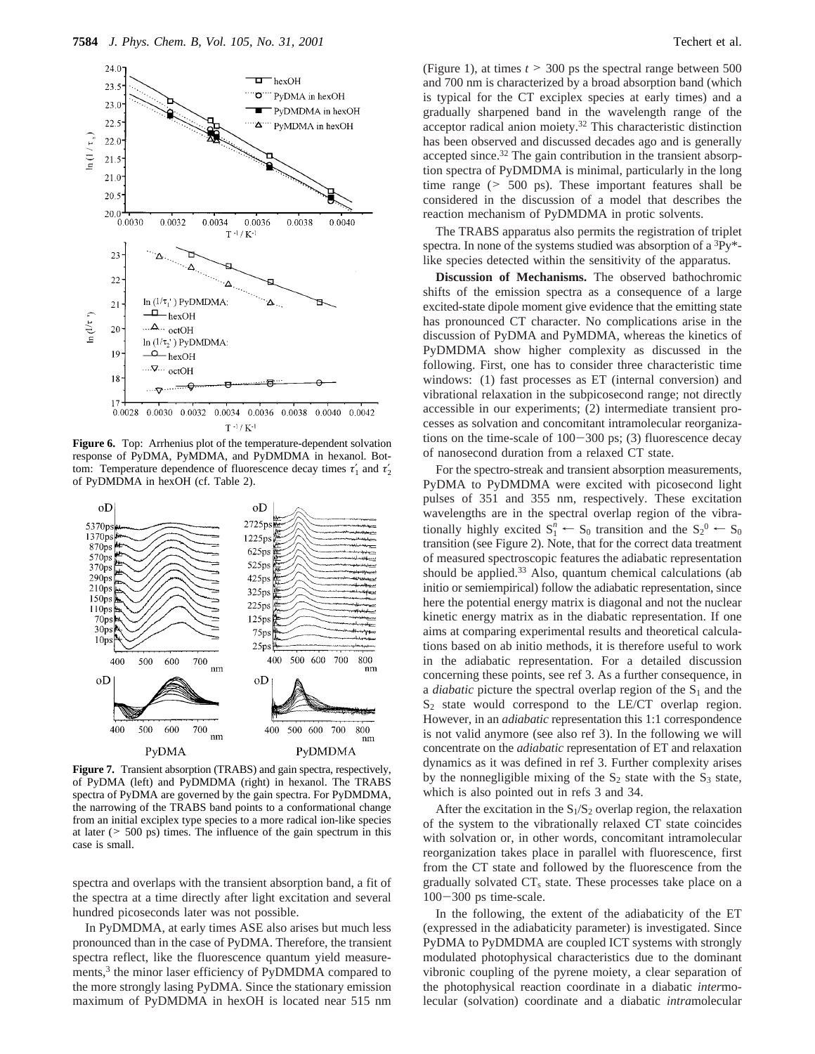

**Figure 6.** Top: Arrhenius plot of the temperature-dependent solvation response of PyDMA, PyMDMA, and PyDMDMA in hexanol. Bottom: Temperature dependence of fluorescence decay times  $τ'_{1}$  and  $τ'_{2}$ of PyDMDMA in hexOH (cf. Table 2).



**Figure 7.** Transient absorption (TRABS) and gain spectra, respectively, of PyDMA (left) and PyDMDMA (right) in hexanol. The TRABS spectra of PyDMA are governed by the gain spectra. For PyDMDMA, the narrowing of the TRABS band points to a conformational change from an initial exciplex type species to a more radical ion-like species at later (> 500 ps) times. The influence of the gain spectrum in this case is small.

spectra and overlaps with the transient absorption band, a fit of the spectra at a time directly after light excitation and several hundred picoseconds later was not possible.

In PyDMDMA, at early times ASE also arises but much less pronounced than in the case of PyDMA. Therefore, the transient spectra reflect, like the fluorescence quantum yield measurements,<sup>3</sup> the minor laser efficiency of PyDMDMA compared to the more strongly lasing PyDMA. Since the stationary emission maximum of PyDMDMA in hexOH is located near 515 nm

(Figure 1), at times  $t > 300$  ps the spectral range between 500 and 700 nm is characterized by a broad absorption band (which is typical for the CT exciplex species at early times) and a gradually sharpened band in the wavelength range of the acceptor radical anion moiety.32 This characteristic distinction has been observed and discussed decades ago and is generally accepted since.32 The gain contribution in the transient absorption spectra of PyDMDMA is minimal, particularly in the long time range (> 500 ps). These important features shall be considered in the discussion of a model that describes the reaction mechanism of PyDMDMA in protic solvents.

The TRABS apparatus also permits the registration of triplet spectra. In none of the systems studied was absorption of a 3Py\* like species detected within the sensitivity of the apparatus.

**Discussion of Mechanisms.** The observed bathochromic shifts of the emission spectra as a consequence of a large excited-state dipole moment give evidence that the emitting state has pronounced CT character. No complications arise in the discussion of PyDMA and PyMDMA, whereas the kinetics of PyDMDMA show higher complexity as discussed in the following. First, one has to consider three characteristic time windows: (1) fast processes as ET (internal conversion) and vibrational relaxation in the subpicosecond range; not directly accessible in our experiments; (2) intermediate transient processes as solvation and concomitant intramolecular reorganizations on the time-scale of  $100-300$  ps; (3) fluorescence decay of nanosecond duration from a relaxed CT state.

For the spectro-streak and transient absorption measurements, PyDMA to PyDMDMA were excited with picosecond light pulses of 351 and 355 nm, respectively. These excitation wavelengths are in the spectral overlap region of the vibrationally highly excited  $S_1^n \leftarrow S_0$  transition and the  $S_2^0 \leftarrow S_0$ transition (see Figure 2). Note, that for the correct data treatment of measured spectroscopic features the adiabatic representation should be applied.<sup>33</sup> Also, quantum chemical calculations (ab initio or semiempirical) follow the adiabatic representation, since here the potential energy matrix is diagonal and not the nuclear kinetic energy matrix as in the diabatic representation. If one aims at comparing experimental results and theoretical calculations based on ab initio methods, it is therefore useful to work in the adiabatic representation. For a detailed discussion concerning these points, see ref 3. As a further consequence, in a *diabatic* picture the spectral overlap region of the S<sub>1</sub> and the  $S_2$  state would correspond to the LE/CT overlap region. However, in an *adiabatic* representation this 1:1 correspondence is not valid anymore (see also ref 3). In the following we will concentrate on the *adiabatic* representation of ET and relaxation dynamics as it was defined in ref 3. Further complexity arises by the nonnegligible mixing of the  $S_2$  state with the  $S_3$  state, which is also pointed out in refs 3 and 34.

After the excitation in the  $S_1/S_2$  overlap region, the relaxation of the system to the vibrationally relaxed CT state coincides with solvation or, in other words, concomitant intramolecular reorganization takes place in parallel with fluorescence, first from the CT state and followed by the fluorescence from the gradually solvated  $CT_s$  state. These processes take place on a <sup>100</sup>-300 ps time-scale.

In the following, the extent of the adiabaticity of the ET (expressed in the adiabaticity parameter) is investigated. Since PyDMA to PyDMDMA are coupled ICT systems with strongly modulated photophysical characteristics due to the dominant vibronic coupling of the pyrene moiety, a clear separation of the photophysical reaction coordinate in a diabatic *inter*molecular (solvation) coordinate and a diabatic *intra*molecular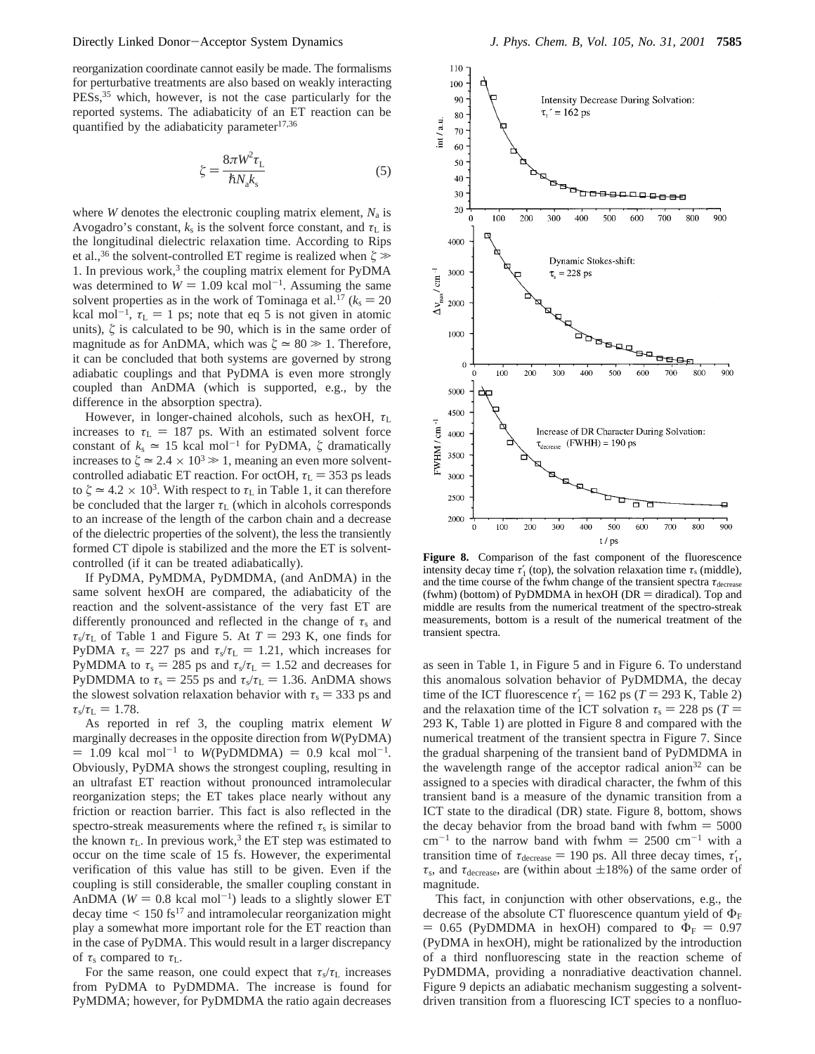reorganization coordinate cannot easily be made. The formalisms for perturbative treatments are also based on weakly interacting PESs,<sup>35</sup> which, however, is not the case particularly for the reported systems. The adiabaticity of an ET reaction can be quantified by the adiabaticity parameter $17,36$ 

$$
\zeta = \frac{8\pi W^2 \tau_{\rm L}}{\hbar N_{\rm a} k_{\rm s}}\tag{5}
$$

where *W* denotes the electronic coupling matrix element,  $N_a$  is Avogadro's constant,  $k_s$  is the solvent force constant, and  $\tau_L$  is the longitudinal dielectric relaxation time. According to Rips et al.,<sup>36</sup> the solvent-controlled ET regime is realized when  $\zeta \gg$ 1. In previous work,<sup>3</sup> the coupling matrix element for PyDMA was determined to  $W = 1.09$  kcal mol<sup>-1</sup>. Assuming the same solvent properties as in the work of Tominaga et al.<sup>17</sup> ( $k_s = 20$ ) kcal mol<sup>-1</sup>,  $\tau_{\rm L} = 1$  ps; note that eq 5 is not given in atomic units),  $\zeta$  is calculated to be 90, which is in the same order of magnitude as for AnDMA, which was  $\zeta \approx 80 \gg 1$ . Therefore, it can be concluded that both systems are governed by strong adiabatic couplings and that PyDMA is even more strongly coupled than AnDMA (which is supported, e.g., by the difference in the absorption spectra).

However, in longer-chained alcohols, such as hexOH, *τ*<sup>L</sup> increases to  $\tau_{\text{L}} = 187$  ps. With an estimated solvent force constant of  $k_s \approx 15$  kcal mol<sup>-1</sup> for PyDMA,  $\zeta$  dramatically increases to  $\zeta \approx 2.4 \times 10^3 \gg 1$ , meaning an even more solventcontrolled adiabatic ET reaction. For octOH,  $\tau_L = 353$  ps leads to  $\zeta \approx 4.2 \times 10^3$ . With respect to  $\tau$ <sub>L</sub> in Table 1, it can therefore be concluded that the larger  $\tau_L$  (which in alcohols corresponds to an increase of the length of the carbon chain and a decrease of the dielectric properties of the solvent), the less the transiently formed CT dipole is stabilized and the more the ET is solventcontrolled (if it can be treated adiabatically).

If PyDMA, PyMDMA, PyDMDMA, (and AnDMA) in the same solvent hexOH are compared, the adiabaticity of the reaction and the solvent-assistance of the very fast ET are differently pronounced and reflected in the change of *τ*<sup>s</sup> and  $\tau_s/\tau_L$  of Table 1 and Figure 5. At  $T = 293$  K, one finds for PyDMA  $\tau_s = 227$  ps and  $\tau_s/\tau_L = 1.21$ , which increases for PyMDMA to  $\tau_s = 285$  ps and  $\tau_s/\tau_L = 1.52$  and decreases for PyDMDMA to  $\tau_s = 255$  ps and  $\tau_s / \tau_L = 1.36$ . AnDMA shows the slowest solvation relaxation behavior with  $\tau_s = 333$  ps and  $\tau_s/\tau_L = 1.78$ .

As reported in ref 3, the coupling matrix element *W* marginally decreases in the opposite direction from *W*(PyDMA)  $= 1.09$  kcal mol<sup>-1</sup> to *W*(PyDMDMA) = 0.9 kcal mol<sup>-1</sup>. Obviously, PyDMA shows the strongest coupling, resulting in an ultrafast ET reaction without pronounced intramolecular reorganization steps; the ET takes place nearly without any friction or reaction barrier. This fact is also reflected in the spectro-streak measurements where the refined  $\tau_s$  is similar to the known  $\tau_L$ . In previous work,<sup>3</sup> the ET step was estimated to occur on the time scale of 15 fs. However, the experimental verification of this value has still to be given. Even if the coupling is still considerable, the smaller coupling constant in AnDMA ( $W = 0.8$  kcal mol<sup>-1</sup>) leads to a slightly slower ET decay time  $\leq 150$  fs<sup>17</sup> and intramolecular reorganization might play a somewhat more important role for the ET reaction than in the case of PyDMA. This would result in a larger discrepancy of  $\tau_s$  compared to  $\tau_L$ .

For the same reason, one could expect that  $\tau_s/\tau_L$  increases from PyDMA to PyDMDMA. The increase is found for PyMDMA; however, for PyDMDMA the ratio again decreases



**Figure 8.** Comparison of the fast component of the fluorescence intensity decay time  $\tau'_{1}$  (top), the solvation relaxation time  $\tau_{s}$  (middle), and the time course of the fwhm change of the transient spectra  $\tau_{\text{decrease}}$ (fwhm) (bottom) of PyDMDMA in hexOH ( $DR =$  diradical). Top and middle are results from the numerical treatment of the spectro-streak measurements, bottom is a result of the numerical treatment of the transient spectra.

as seen in Table 1, in Figure 5 and in Figure 6. To understand this anomalous solvation behavior of PyDMDMA, the decay time of the ICT fluorescence  $\tau'_1 = 162$  ps ( $T = 293$  K, Table 2) and the relaxation time of the ICT solvation  $\tau = 228$  ps ( $T =$ and the relaxation time of the ICT solvation  $\tau_s = 228$  ps (*T* = 293 K, Table 1) are plotted in Figure 8 and compared with the numerical treatment of the transient spectra in Figure 7. Since the gradual sharpening of the transient band of PyDMDMA in the wavelength range of the acceptor radical anion<sup>32</sup> can be assigned to a species with diradical character, the fwhm of this transient band is a measure of the dynamic transition from a ICT state to the diradical (DR) state. Figure 8, bottom, shows the decay behavior from the broad band with fwhm  $= 5000$  $cm^{-1}$  to the narrow band with fwhm = 2500 cm<sup>-1</sup> with a transition time of  $\tau_{\text{decrease}} = 190 \text{ ps.}$  All three decay times,  $\tau'_{1}$ ,  $\tau_{\text{and } \tau_{1}}$  are (within about  $+18\%$ ) of the same order of  $\tau_s$ , and  $\tau_{\text{decrease}}$ , are (within about  $\pm 18\%$ ) of the same order of magnitude.

This fact, in conjunction with other observations, e.g., the decrease of the absolute CT fluorescence quantum yield of  $\Phi_F$ = 0.65 (PyDMDMA in hexOH) compared to  $\Phi$ <sub>F</sub> = 0.97 (PyDMA in hexOH), might be rationalized by the introduction of a third nonfluorescing state in the reaction scheme of PyDMDMA, providing a nonradiative deactivation channel. Figure 9 depicts an adiabatic mechanism suggesting a solventdriven transition from a fluorescing ICT species to a nonfluo-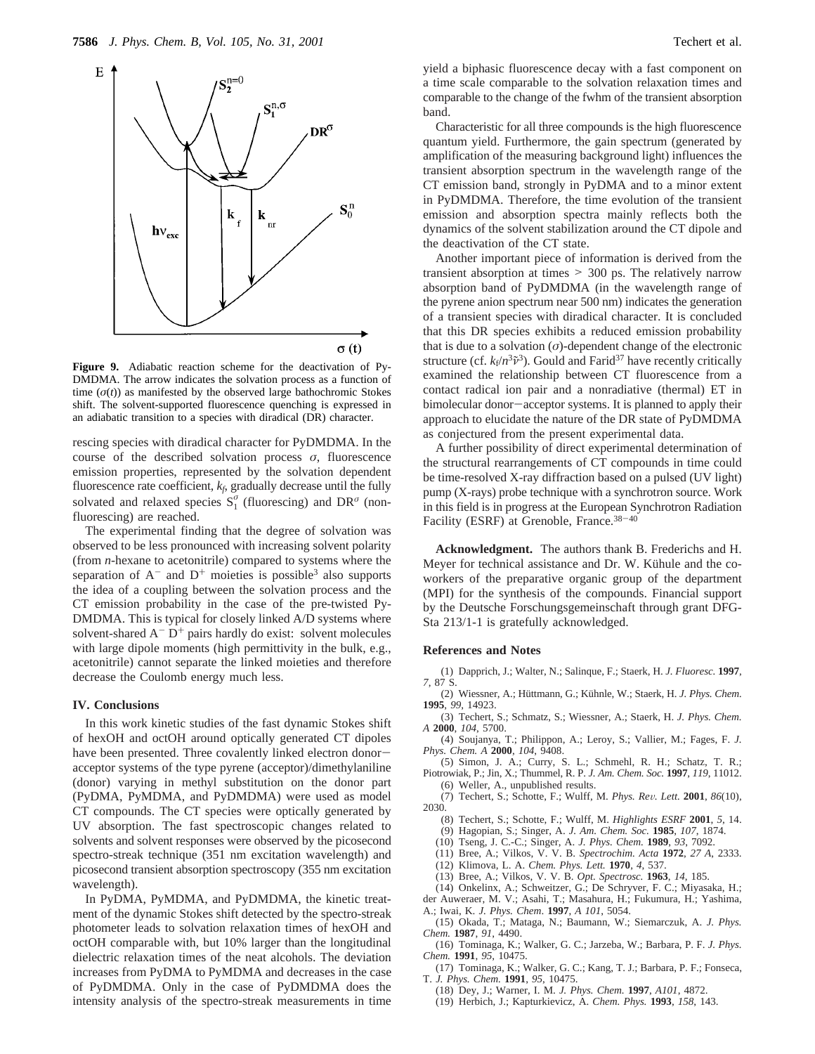

**Figure 9.** Adiabatic reaction scheme for the deactivation of Py-DMDMA. The arrow indicates the solvation process as a function of time  $(\sigma(t))$  as manifested by the observed large bathochromic Stokes shift. The solvent-supported fluorescence quenching is expressed in an adiabatic transition to a species with diradical (DR) character.

rescing species with diradical character for PyDMDMA. In the course of the described solvation process  $\sigma$ , fluorescence emission properties, represented by the solvation dependent fluorescence rate coefficient, *kf*, gradually decrease until the fully solvated and relaxed species  $S_1^{\sigma}$  (fluorescing) and DR<sup>*σ*</sup> (nonfluorescing) are reached.

The experimental finding that the degree of solvation was observed to be less pronounced with increasing solvent polarity (from *n*-hexane to acetonitrile) compared to systems where the separation of  $A^-$  and  $D^+$  moieties is possible<sup>3</sup> also supports the idea of a coupling between the solvation process and the CT emission probability in the case of the pre-twisted Py-DMDMA. This is typical for closely linked A/D systems where solvent-shared  $A^- D^+$  pairs hardly do exist: solvent molecules with large dipole moments (high permittivity in the bulk, e.g., acetonitrile) cannot separate the linked moieties and therefore decrease the Coulomb energy much less.

#### **IV. Conclusions**

In this work kinetic studies of the fast dynamic Stokes shift of hexOH and octOH around optically generated CT dipoles have been presented. Three covalently linked electron donoracceptor systems of the type pyrene (acceptor)/dimethylaniline (donor) varying in methyl substitution on the donor part (PyDMA, PyMDMA, and PyDMDMA) were used as model CT compounds. The CT species were optically generated by UV absorption. The fast spectroscopic changes related to solvents and solvent responses were observed by the picosecond spectro-streak technique (351 nm excitation wavelength) and picosecond transient absorption spectroscopy (355 nm excitation wavelength).

In PyDMA, PyMDMA, and PyDMDMA, the kinetic treatment of the dynamic Stokes shift detected by the spectro-streak photometer leads to solvation relaxation times of hexOH and octOH comparable with, but 10% larger than the longitudinal dielectric relaxation times of the neat alcohols. The deviation increases from PyDMA to PyMDMA and decreases in the case of PyDMDMA. Only in the case of PyDMDMA does the intensity analysis of the spectro-streak measurements in time

yield a biphasic fluorescence decay with a fast component on a time scale comparable to the solvation relaxation times and comparable to the change of the fwhm of the transient absorption band.

Characteristic for all three compounds is the high fluorescence quantum yield. Furthermore, the gain spectrum (generated by amplification of the measuring background light) influences the transient absorption spectrum in the wavelength range of the CT emission band, strongly in PyDMA and to a minor extent in PyDMDMA. Therefore, the time evolution of the transient emission and absorption spectra mainly reflects both the dynamics of the solvent stabilization around the CT dipole and the deactivation of the CT state.

Another important piece of information is derived from the transient absorption at times > 300 ps. The relatively narrow absorption band of PyDMDMA (in the wavelength range of the pyrene anion spectrum near 500 nm) indicates the generation of a transient species with diradical character. It is concluded that this DR species exhibits a reduced emission probability that is due to a solvation  $(\sigma)$ -dependent change of the electronic structure (cf.  $k_f/n^3\tilde{v}^3$ ). Gould and Farid<sup>37</sup> have recently critically examined the relationship between CT fluorescence from a contact radical ion pair and a nonradiative (thermal) ET in bimolecular donor-acceptor systems. It is planned to apply their approach to elucidate the nature of the DR state of PyDMDMA as conjectured from the present experimental data.

A further possibility of direct experimental determination of the structural rearrangements of CT compounds in time could be time-resolved X-ray diffraction based on a pulsed (UV light) pump (X-rays) probe technique with a synchrotron source. Work in this field is in progress at the European Synchrotron Radiation Facility (ESRF) at Grenoble, France.<sup>38-40</sup>

**Acknowledgment.** The authors thank B. Frederichs and H. Meyer for technical assistance and Dr. W. Kühule and the coworkers of the preparative organic group of the department (MPI) for the synthesis of the compounds. Financial support by the Deutsche Forschungsgemeinschaft through grant DFG-Sta 213/1-1 is gratefully acknowledged.

#### **References and Notes**

(1) Dapprich, J.; Walter, N.; Salinque, F.; Staerk, H. *J. Fluoresc.* **1997**, *7*, 87 S.

- (2) Wiessner, A.; Hüttmann, G.; Kühnle, W.; Staerk, H. *J. Phys. Chem.* **1995**, *99*, 14923.
- (3) Techert, S.; Schmatz, S.; Wiessner, A.; Staerk, H. *J. Phys. Chem. A* **2000**, *104*, 5700.
- (4) Soujanya, T.; Philippon, A.; Leroy, S.; Vallier, M.; Fages, F. *J. Phys. Chem. A* **2000**, *104*, 9408.

(5) Simon, J. A.; Curry, S. L.; Schmehl, R. H.; Schatz, T. R.; Piotrowiak, P.; Jin, X.; Thummel, R. P. *J. Am. Chem. Soc.* **1997**, *119*, 11012. (6) Weller, A., unpublished results.

(7) Techert, S.; Schotte, F.; Wulff, M. *Phys. Re*V*. Lett.* **<sup>2001</sup>**, *<sup>86</sup>*(10), 2030.

- (8) Techert, S.; Schotte, F.; Wulff, M. *Highlights ESRF* **2001**, *5*, 14.
- (9) Hagopian, S.; Singer, A. *J. Am. Chem. Soc.* **1985**, *107*, 1874.
- (10) Tseng, J. C.-C.; Singer, A. *J. Phys. Chem.* **1989**, *93*, 7092.
- (11) Bree, A.; Vilkos, V. V. B. *Spectrochim. Acta* **1972**, *27 A*, 2333.
- (12) Klimova, L. A. *Chem. Phys. Lett.* **1970**, *4*, 537.
- (13) Bree, A.; Vilkos, V. V. B. *Opt. Spectrosc.* **1963**, *14*, 185.

(14) Onkelinx, A.; Schweitzer, G.; De Schryver, F. C.; Miyasaka, H.; der Auweraer, M. V.; Asahi, T.; Masahura, H.; Fukumura, H.; Yashima, A.; Iwai, K. *J. Phys. Chem*. **1997**, *A 101*, 5054.

- (15) Okada, T.; Mataga, N.; Baumann, W.; Siemarczuk, A. *J. Phys. Chem.* **1987**, *91*, 4490.
- (16) Tominaga, K.; Walker, G. C.; Jarzeba, W.; Barbara, P. F. *J. Phys. Chem.* **1991**, *95*, 10475.
- (17) Tominaga, K.; Walker, G. C.; Kang, T. J.; Barbara, P. F.; Fonseca, T. *J. Phys. Chem.* **1991**, *95*, 10475.
	- (18) Dey, J.; Warner, I. M. *J. Phys. Chem.* **1997**, *A101*, 4872.
	- (19) Herbich, J.; Kapturkievicz, A. *Chem. Phys.* **1993**, *158*, 143.